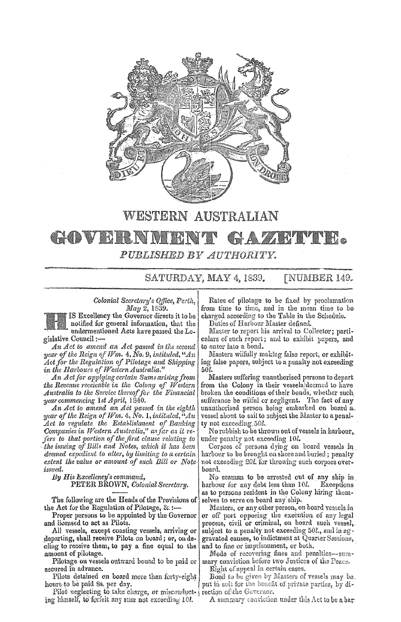

## WESTERN AUSTRALIAN GOVERNI **BALLA LA BALLA COMPANY** PUBLISHED BY AUTHORITY.

SATURDAY, MAY 4, 1839. FNUMBER 149.

notified for general information, that the

*An Act to amend an Act passed in the second* to enter into a bond.<br>*ar of the Reign of Wm.* 4, No. 9, *intituled*, "An | Masters wilfully making false report, or exhibit*year of the Reign of Wm.* 4, No. 9, *intituled*, "An *Act for the Regulation of Pilotage and Shipping* ing false papers, subject to a penalty not exceeding.<br>in the Harbours of Western Australia."<br>50*l*. in the Harbours of Western Australia."<br>An Act for applying certain Sums arising from

*Australia to the Service thereof for the Financial gear commencing 1st April, 1840.* 

*year of the Reign of Wm.* 4, *No.* 1, *intituled*, "Au | vessel about to sail to subject the Master to a penal-*Act to regulate the Establishment of Banking* ty not exceeding.50l. Companies in Western Australia," as far as it re*fers to that portion of the first clause relating to* under penalty not exceeding 10*l. the issuing of Bills and Notes, which it has been* Corpses of persons dying on *deemed expedient to alter, by limiting to a certain extent the value or amount of such Bill or Note-*, not exceeding 20l. for throwing such corpses over*issued.* board. <br>By His Excellency's command, **by His Property** 

The following are the Heads of the Provisions of selves to serve on board any ship.<br>the Act for the Regulation of Pilotage, & :--- Masters, or any other person, or

departing, shall receive Pilots on board; or, on de- gravated causes, to indictment at Quarter Sessions, cling to receive them, to pay a fine equal to the  $\vert$  and to fine or imprisonment, or both.

Pilotage on vessels outward bound to be paid or secured in advance. The contract of a secured in certain cases.

Pilots detained on board more than forty-eight hours to be paid 8s. per day.

Pilot ueglecting to take charge, or misconduct- rection of the Governor. ing himself, to forfeit any sum not exceeding  $10l$ . A summary conviction under this Act to be a bar

*Colonial Secretary's Office, Perth,* Rates of pilotage to be fixed by proclamation *May 2*, 1839. from time to time, and in the mean time to be in Excellency the Governor directs it to be charged according to the Table in the Schedule. charged according to the Table in the Schedule.<br>Duties of Harbour Master defined.

undermentioned Acts have passed the Le- Master to report his arrival to Collector; parti-<br>gislative Council:—<br>culars of such report; and to exhibit papers, and culars of such report; and to exhibit papers, and to enter into a bond.

An Act for applying certain Sums arising from Masters suffering unauthorised persons to depart.<br>the Revenue receivable in the Colony of Western from the Colony in their vessels deemed to have from the Colony in their vessels deemed to have<br>broken the conditions of their bonds, whether such ar commencing 1st April, 1840.<br>An Act to amend an Act passed in the eighth unauthorised person being embarked on board a. *An Act to amend an ACt passed in the eighth* unauthorised person being embarked on board lio,

Corpses of persons dying on board vessels in harbour to be brought on shore and buried; penalty

*is Excellency's command,* **seaman b By** Seaman to be arrested out of any ship in **PETER BROWN, Colonial Secretary.** In arbour for any debt less than 101. Exceptions harbour for any debt less than 10*1*. Exceptions<br>as to persons resident in the Colony hiring them-

e Act for the Regulation of Pilotage,  $\& \xleftarrow{\ }$  Masters, or any other person, on board vessels in<br>Proper persons to be appointed by the Governor or off port opposing the execution of any legal or off port opposing the execution of any legal and licensed to act as Pilots. process, civil or criminal, on board such vessel,  $\blacksquare$ . All vessels, except coasting vessels, arriving or subject to a penalty not exceeding  $50l$ , and in ag subject to a penalty not exceeding 50l., and in ag-

amount of pilotage.<br>Pilotage on vessels outward bound to be paid or mary conviction before two Justices of the Peace.

Bond to be given by Masters of vessels may be. put in suit for the benefit of private parties, by di-